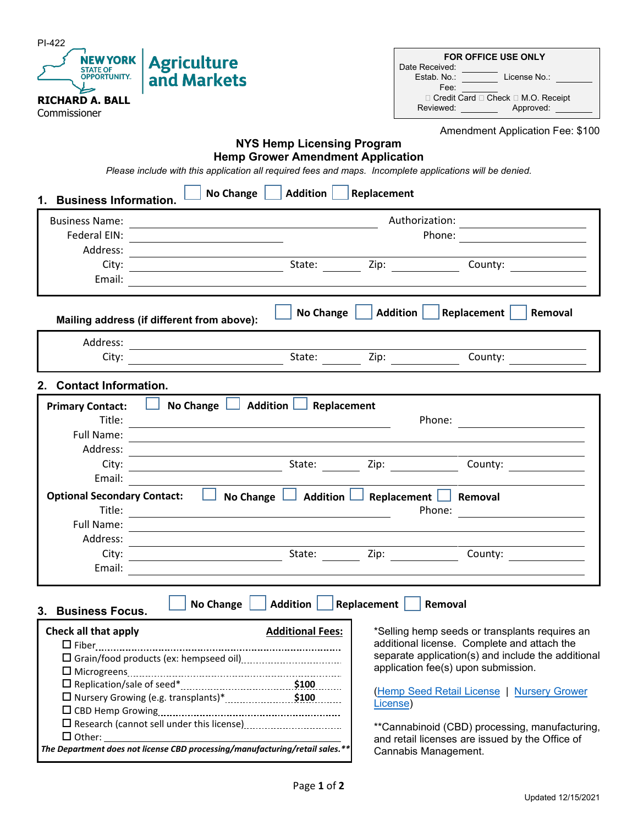| PI-422                                                                                                                                                                                                                                                                                                                                                                                                                                    |                                                                                                                                                                                                                                                                                                                                                                                                                                                                                                  |                                                                                                                                                                                                                               |  |  |  |  |  |
|-------------------------------------------------------------------------------------------------------------------------------------------------------------------------------------------------------------------------------------------------------------------------------------------------------------------------------------------------------------------------------------------------------------------------------------------|--------------------------------------------------------------------------------------------------------------------------------------------------------------------------------------------------------------------------------------------------------------------------------------------------------------------------------------------------------------------------------------------------------------------------------------------------------------------------------------------------|-------------------------------------------------------------------------------------------------------------------------------------------------------------------------------------------------------------------------------|--|--|--|--|--|
| NEW YORK<br><b>Agriculture</b>                                                                                                                                                                                                                                                                                                                                                                                                            |                                                                                                                                                                                                                                                                                                                                                                                                                                                                                                  | <b>FOR OFFICE USE ONLY</b>                                                                                                                                                                                                    |  |  |  |  |  |
| <b>STATE OF</b><br><b>OPPORTUNITY.</b><br>and Markets                                                                                                                                                                                                                                                                                                                                                                                     |                                                                                                                                                                                                                                                                                                                                                                                                                                                                                                  | Date Received:<br>Estab. No.: License No.:                                                                                                                                                                                    |  |  |  |  |  |
|                                                                                                                                                                                                                                                                                                                                                                                                                                           |                                                                                                                                                                                                                                                                                                                                                                                                                                                                                                  | Fee:                                                                                                                                                                                                                          |  |  |  |  |  |
| <b>RICHARD A. BALL</b>                                                                                                                                                                                                                                                                                                                                                                                                                    |                                                                                                                                                                                                                                                                                                                                                                                                                                                                                                  | □ Credit Card □ Check □ M.O. Receipt<br>Reviewed: Approved:                                                                                                                                                                   |  |  |  |  |  |
| Commissioner                                                                                                                                                                                                                                                                                                                                                                                                                              |                                                                                                                                                                                                                                                                                                                                                                                                                                                                                                  |                                                                                                                                                                                                                               |  |  |  |  |  |
|                                                                                                                                                                                                                                                                                                                                                                                                                                           |                                                                                                                                                                                                                                                                                                                                                                                                                                                                                                  | Amendment Application Fee: \$100                                                                                                                                                                                              |  |  |  |  |  |
|                                                                                                                                                                                                                                                                                                                                                                                                                                           | <b>NYS Hemp Licensing Program</b>                                                                                                                                                                                                                                                                                                                                                                                                                                                                |                                                                                                                                                                                                                               |  |  |  |  |  |
| <b>Hemp Grower Amendment Application</b>                                                                                                                                                                                                                                                                                                                                                                                                  |                                                                                                                                                                                                                                                                                                                                                                                                                                                                                                  |                                                                                                                                                                                                                               |  |  |  |  |  |
| Please include with this application all required fees and maps. Incomplete applications will be denied.                                                                                                                                                                                                                                                                                                                                  |                                                                                                                                                                                                                                                                                                                                                                                                                                                                                                  |                                                                                                                                                                                                                               |  |  |  |  |  |
| Addition<br>No Change $\vert \vert$<br>Replacement<br>1. Business Information.                                                                                                                                                                                                                                                                                                                                                            |                                                                                                                                                                                                                                                                                                                                                                                                                                                                                                  |                                                                                                                                                                                                                               |  |  |  |  |  |
| <b>Business Name:</b>                                                                                                                                                                                                                                                                                                                                                                                                                     |                                                                                                                                                                                                                                                                                                                                                                                                                                                                                                  | Authorization:                                                                                                                                                                                                                |  |  |  |  |  |
| Federal EIN:                                                                                                                                                                                                                                                                                                                                                                                                                              | <u> 1989 - Johann Stoff, deutscher Stoffen und der Stoffen und der Stoffen und der Stoffen und der Stoffen und der</u><br><u>and the company of the company of the company of the company of the company of the company of the company of the company of the company of the company of the company of the company of the company of the company of the com</u><br>Phone:<br><u> 1980 - Jan Stein Stein Stein Stein Stein Stein Stein Stein Stein Stein Stein Stein Stein Stein Stein Stein S</u> |                                                                                                                                                                                                                               |  |  |  |  |  |
| the contract of the contract of the contract of the contract of the<br>Address:                                                                                                                                                                                                                                                                                                                                                           |                                                                                                                                                                                                                                                                                                                                                                                                                                                                                                  |                                                                                                                                                                                                                               |  |  |  |  |  |
| City:                                                                                                                                                                                                                                                                                                                                                                                                                                     | State: $\frac{1}{\sqrt{2}}$ Zip: $\frac{1}{\sqrt{2}}$                                                                                                                                                                                                                                                                                                                                                                                                                                            | County:                                                                                                                                                                                                                       |  |  |  |  |  |
| Email:                                                                                                                                                                                                                                                                                                                                                                                                                                    |                                                                                                                                                                                                                                                                                                                                                                                                                                                                                                  |                                                                                                                                                                                                                               |  |  |  |  |  |
|                                                                                                                                                                                                                                                                                                                                                                                                                                           |                                                                                                                                                                                                                                                                                                                                                                                                                                                                                                  |                                                                                                                                                                                                                               |  |  |  |  |  |
|                                                                                                                                                                                                                                                                                                                                                                                                                                           | No Change                                                                                                                                                                                                                                                                                                                                                                                                                                                                                        | <b>Addition</b><br>Replacement<br>Removal                                                                                                                                                                                     |  |  |  |  |  |
| Mailing address (if different from above):                                                                                                                                                                                                                                                                                                                                                                                                |                                                                                                                                                                                                                                                                                                                                                                                                                                                                                                  |                                                                                                                                                                                                                               |  |  |  |  |  |
| Address:                                                                                                                                                                                                                                                                                                                                                                                                                                  |                                                                                                                                                                                                                                                                                                                                                                                                                                                                                                  |                                                                                                                                                                                                                               |  |  |  |  |  |
| City:                                                                                                                                                                                                                                                                                                                                                                                                                                     | State: $\qquad \qquad \qquad \text{Zip: } \qquad \qquad$                                                                                                                                                                                                                                                                                                                                                                                                                                         | County:                                                                                                                                                                                                                       |  |  |  |  |  |
|                                                                                                                                                                                                                                                                                                                                                                                                                                           |                                                                                                                                                                                                                                                                                                                                                                                                                                                                                                  |                                                                                                                                                                                                                               |  |  |  |  |  |
| <b>Contact Information.</b><br>$2_{-}$                                                                                                                                                                                                                                                                                                                                                                                                    |                                                                                                                                                                                                                                                                                                                                                                                                                                                                                                  |                                                                                                                                                                                                                               |  |  |  |  |  |
| <b>Primary Contact:</b>                                                                                                                                                                                                                                                                                                                                                                                                                   | No Change $\Box$ Addition $\Box$ Replacement                                                                                                                                                                                                                                                                                                                                                                                                                                                     |                                                                                                                                                                                                                               |  |  |  |  |  |
| Title:                                                                                                                                                                                                                                                                                                                                                                                                                                    | Phone:                                                                                                                                                                                                                                                                                                                                                                                                                                                                                           |                                                                                                                                                                                                                               |  |  |  |  |  |
| Full Name:                                                                                                                                                                                                                                                                                                                                                                                                                                |                                                                                                                                                                                                                                                                                                                                                                                                                                                                                                  |                                                                                                                                                                                                                               |  |  |  |  |  |
| Address:<br><u> 1989 - Johann Stein, mars an t-Amerikaansk kommunister (</u>                                                                                                                                                                                                                                                                                                                                                              |                                                                                                                                                                                                                                                                                                                                                                                                                                                                                                  |                                                                                                                                                                                                                               |  |  |  |  |  |
| City:<br>$\overline{\phantom{a}}$ . The contract of $\overline{\phantom{a}}$ , $\overline{\phantom{a}}$ , $\overline{\phantom{a}}$ , $\overline{\phantom{a}}$ , $\overline{\phantom{a}}$ , $\overline{\phantom{a}}$ , $\overline{\phantom{a}}$ , $\overline{\phantom{a}}$ , $\overline{\phantom{a}}$ , $\overline{\phantom{a}}$ , $\overline{\phantom{a}}$ , $\overline{\phantom{a}}$ , $\overline{\phantom{a}}$ , $\overline{\phantom{a$ | State:                                                                                                                                                                                                                                                                                                                                                                                                                                                                                           | Zip: where the contract of the contract of the contract of the contract of the contract of the contract of the<br>County:                                                                                                     |  |  |  |  |  |
| Email:                                                                                                                                                                                                                                                                                                                                                                                                                                    |                                                                                                                                                                                                                                                                                                                                                                                                                                                                                                  |                                                                                                                                                                                                                               |  |  |  |  |  |
| <b>Optional Secondary Contact:</b><br><b>No Change</b>                                                                                                                                                                                                                                                                                                                                                                                    | Addition $\Box$                                                                                                                                                                                                                                                                                                                                                                                                                                                                                  | Replacement<br>Removal                                                                                                                                                                                                        |  |  |  |  |  |
| Title:<br>Phone:<br><u>and the state of the state of the state</u>                                                                                                                                                                                                                                                                                                                                                                        |                                                                                                                                                                                                                                                                                                                                                                                                                                                                                                  |                                                                                                                                                                                                                               |  |  |  |  |  |
| Full Name:                                                                                                                                                                                                                                                                                                                                                                                                                                |                                                                                                                                                                                                                                                                                                                                                                                                                                                                                                  |                                                                                                                                                                                                                               |  |  |  |  |  |
| Address:                                                                                                                                                                                                                                                                                                                                                                                                                                  |                                                                                                                                                                                                                                                                                                                                                                                                                                                                                                  |                                                                                                                                                                                                                               |  |  |  |  |  |
| City:                                                                                                                                                                                                                                                                                                                                                                                                                                     | State: Zip:                                                                                                                                                                                                                                                                                                                                                                                                                                                                                      | County: the country of the country of the country of the country of the country of the country of the country of the country of the country of the country of the country of the country of the country of the country of the |  |  |  |  |  |
| Email:                                                                                                                                                                                                                                                                                                                                                                                                                                    |                                                                                                                                                                                                                                                                                                                                                                                                                                                                                                  |                                                                                                                                                                                                                               |  |  |  |  |  |
|                                                                                                                                                                                                                                                                                                                                                                                                                                           |                                                                                                                                                                                                                                                                                                                                                                                                                                                                                                  |                                                                                                                                                                                                                               |  |  |  |  |  |
| No Change $\vert$                                                                                                                                                                                                                                                                                                                                                                                                                         | Addition  <br>Replacement                                                                                                                                                                                                                                                                                                                                                                                                                                                                        | Removal                                                                                                                                                                                                                       |  |  |  |  |  |
| 3. Business Focus.                                                                                                                                                                                                                                                                                                                                                                                                                        |                                                                                                                                                                                                                                                                                                                                                                                                                                                                                                  |                                                                                                                                                                                                                               |  |  |  |  |  |
| <b>Check all that apply</b>                                                                                                                                                                                                                                                                                                                                                                                                               | <b>Additional Fees:</b>                                                                                                                                                                                                                                                                                                                                                                                                                                                                          | *Selling hemp seeds or transplants requires an                                                                                                                                                                                |  |  |  |  |  |
|                                                                                                                                                                                                                                                                                                                                                                                                                                           |                                                                                                                                                                                                                                                                                                                                                                                                                                                                                                  | additional license. Complete and attach the                                                                                                                                                                                   |  |  |  |  |  |
|                                                                                                                                                                                                                                                                                                                                                                                                                                           |                                                                                                                                                                                                                                                                                                                                                                                                                                                                                                  | separate application(s) and include the additional                                                                                                                                                                            |  |  |  |  |  |
|                                                                                                                                                                                                                                                                                                                                                                                                                                           |                                                                                                                                                                                                                                                                                                                                                                                                                                                                                                  | application fee(s) upon submission.                                                                                                                                                                                           |  |  |  |  |  |
|                                                                                                                                                                                                                                                                                                                                                                                                                                           |                                                                                                                                                                                                                                                                                                                                                                                                                                                                                                  | (Hemp Seed Retail License   Nursery Grower                                                                                                                                                                                    |  |  |  |  |  |
|                                                                                                                                                                                                                                                                                                                                                                                                                                           |                                                                                                                                                                                                                                                                                                                                                                                                                                                                                                  | License)                                                                                                                                                                                                                      |  |  |  |  |  |
|                                                                                                                                                                                                                                                                                                                                                                                                                                           |                                                                                                                                                                                                                                                                                                                                                                                                                                                                                                  |                                                                                                                                                                                                                               |  |  |  |  |  |
|                                                                                                                                                                                                                                                                                                                                                                                                                                           |                                                                                                                                                                                                                                                                                                                                                                                                                                                                                                  | **Cannabinoid (CBD) processing, manufacturing,<br>and retail licenses are issued by the Office of                                                                                                                             |  |  |  |  |  |
| The Department does not license CBD processing/manufacturing/retail sales.**                                                                                                                                                                                                                                                                                                                                                              |                                                                                                                                                                                                                                                                                                                                                                                                                                                                                                  | Cannabis Management.                                                                                                                                                                                                          |  |  |  |  |  |
|                                                                                                                                                                                                                                                                                                                                                                                                                                           |                                                                                                                                                                                                                                                                                                                                                                                                                                                                                                  |                                                                                                                                                                                                                               |  |  |  |  |  |